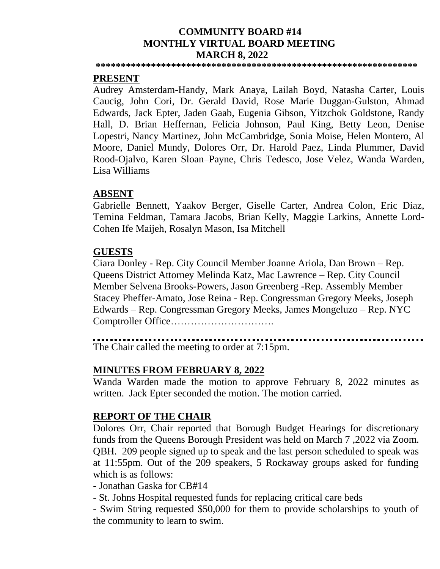#### **COMMUNITY BOARD #14 MONTHLY VIRTUAL BOARD MEETING MARCH 8, 2022**

**\*\*\*\*\*\*\*\*\*\*\*\*\*\*\*\*\*\*\*\*\*\*\*\*\*\*\*\*\*\*\*\*\*\*\*\*\*\*\*\*\*\*\*\*\*\*\*\*\*\*\*\*\*\*\*\*\*\*\*\*\*\*\*\***

#### **PRESENT**

Audrey Amsterdam-Handy, Mark Anaya, Lailah Boyd, Natasha Carter, Louis Caucig, John Cori, Dr. Gerald David, Rose Marie Duggan-Gulston, Ahmad Edwards, Jack Epter, Jaden Gaab, Eugenia Gibson, Yitzchok Goldstone, Randy Hall, D. Brian Heffernan, Felicia Johnson, Paul King, Betty Leon, Denise Lopestri, Nancy Martinez, John McCambridge, Sonia Moise, Helen Montero, Al Moore, Daniel Mundy, Dolores Orr, Dr. Harold Paez, Linda Plummer, David Rood-Ojalvo, Karen Sloan–Payne, Chris Tedesco, Jose Velez, Wanda Warden, Lisa Williams

#### **ABSENT**

Gabrielle Bennett, Yaakov Berger, Giselle Carter, Andrea Colon, Eric Diaz, Temina Feldman, Tamara Jacobs, Brian Kelly, Maggie Larkins, Annette Lord-Cohen Ife Maijeh, Rosalyn Mason, Isa Mitchell

#### **GUESTS**

Ciara Donley - Rep. City Council Member Joanne Ariola, Dan Brown – Rep. Queens District Attorney Melinda Katz, Mac Lawrence – Rep. City Council Member Selvena Brooks-Powers, Jason Greenberg -Rep. Assembly Member Stacey Pheffer-Amato, Jose Reina - Rep. Congressman Gregory Meeks, Joseph Edwards – Rep. Congressman Gregory Meeks, James Mongeluzo – Rep. NYC Comptroller Office………………………….

The Chair called the meeting to order at 7:15pm.

#### **MINUTES FROM FEBRUARY 8, 2022**

Wanda Warden made the motion to approve February 8, 2022 minutes as written. Jack Epter seconded the motion. The motion carried.

#### **REPORT OF THE CHAIR**

Dolores Orr, Chair reported that Borough Budget Hearings for discretionary funds from the Queens Borough President was held on March 7 ,2022 via Zoom. QBH. 209 people signed up to speak and the last person scheduled to speak was at 11:55pm. Out of the 209 speakers, 5 Rockaway groups asked for funding which is as follows:

- Jonathan Gaska for CB#14

- St. Johns Hospital requested funds for replacing critical care beds

- Swim String requested \$50,000 for them to provide scholarships to youth of the community to learn to swim.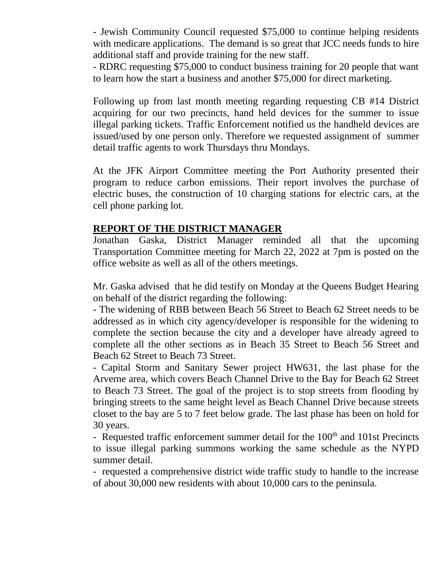- Jewish Community Council requested \$75,000 to continue helping residents with medicare applications. The demand is so great that JCC needs funds to hire additional staff and provide training for the new staff.

- RDRC requesting \$75,000 to conduct business training for 20 people that want to learn how the start a business and another \$75,000 for direct marketing.

Following up from last month meeting regarding requesting CB #14 District acquiring for our two precincts, hand held devices for the summer to issue illegal parking tickets. Traffic Enforcement notified us the handheld devices are issued/used by one person only. Therefore we requested assignment of summer detail traffic agents to work Thursdays thru Mondays.

At the JFK Airport Committee meeting the Port Authority presented their program to reduce carbon emissions. Their report involves the purchase of electric buses, the construction of 10 charging stations for electric cars, at the cell phone parking lot.

### **REPORT OF THE DISTRICT MANAGER**

Jonathan Gaska, District Manager reminded all that the upcoming Transportation Committee meeting for March 22, 2022 at 7pm is posted on the office website as well as all of the others meetings.

Mr. Gaska advised that he did testify on Monday at the Queens Budget Hearing on behalf of the district regarding the following:

- The widening of RBB between Beach 56 Street to Beach 62 Street needs to be addressed as in which city agency/developer is responsible for the widening to complete the section because the city and a developer have already agreed to complete all the other sections as in Beach 35 Street to Beach 56 Street and Beach 62 Street to Beach 73 Street.

- Capital Storm and Sanitary Sewer project HW631, the last phase for the Arverne area, which covers Beach Channel Drive to the Bay for Beach 62 Street to Beach 73 Street. The goal of the project is to stop streets from flooding by bringing streets to the same height level as Beach Channel Drive because streets closet to the bay are 5 to 7 feet below grade. The last phase has been on hold for 30 years.

- Requested traffic enforcement summer detail for the  $100<sup>th</sup>$  and  $101$ st Precincts to issue illegal parking summons working the same schedule as the NYPD summer detail.

- requested a comprehensive district wide traffic study to handle to the increase of about 30,000 new residents with about 10,000 cars to the peninsula.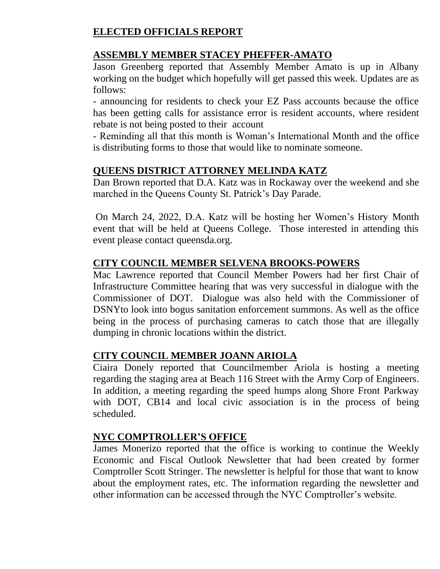# **ELECTED OFFICIALS REPORT**

# **ASSEMBLY MEMBER STACEY PHEFFER-AMATO**

Jason Greenberg reported that Assembly Member Amato is up in Albany working on the budget which hopefully will get passed this week. Updates are as follows:

- announcing for residents to check your EZ Pass accounts because the office has been getting calls for assistance error is resident accounts, where resident rebate is not being posted to their account

- Reminding all that this month is Woman's International Month and the office is distributing forms to those that would like to nominate someone.

# **QUEENS DISTRICT ATTORNEY MELINDA KATZ**

Dan Brown reported that D.A. Katz was in Rockaway over the weekend and she marched in the Queens County St. Patrick's Day Parade.

On March 24, 2022, D.A. Katz will be hosting her Women's History Month event that will be held at Queens College. Those interested in attending this event please contact queensda.org.

# **CITY COUNCIL MEMBER SELVENA BROOKS-POWERS**

Mac Lawrence reported that Council Member Powers had her first Chair of Infrastructure Committee hearing that was very successful in dialogue with the Commissioner of DOT. Dialogue was also held with the Commissioner of DSNYto look into bogus sanitation enforcement summons. As well as the office being in the process of purchasing cameras to catch those that are illegally dumping in chronic locations within the district.

# **CITY COUNCIL MEMBER JOANN ARIOLA**

Ciaira Donely reported that Councilmember Ariola is hosting a meeting regarding the staging area at Beach 116 Street with the Army Corp of Engineers. In addition, a meeting regarding the speed humps along Shore Front Parkway with DOT, CB14 and local civic association is in the process of being scheduled.

### **NYC COMPTROLLER'S OFFICE**

James Monerizo reported that the office is working to continue the Weekly Economic and Fiscal Outlook Newsletter that had been created by former Comptroller Scott Stringer. The newsletter is helpful for those that want to know about the employment rates, etc. The information regarding the newsletter and other information can be accessed through the NYC Comptroller's website.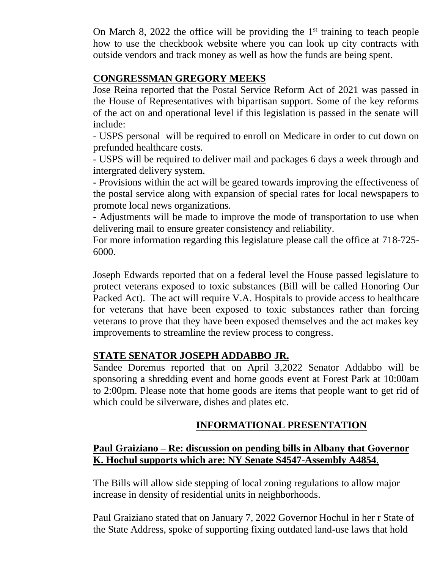On March 8, 2022 the office will be providing the  $1<sup>st</sup>$  training to teach people how to use the checkbook website where you can look up city contracts with outside vendors and track money as well as how the funds are being spent.

### **CONGRESSMAN GREGORY MEEKS**

Jose Reina reported that the Postal Service Reform Act of 2021 was passed in the House of Representatives with bipartisan support. Some of the key reforms of the act on and operational level if this legislation is passed in the senate will include:

- USPS personal will be required to enroll on Medicare in order to cut down on prefunded healthcare costs.

- USPS will be required to deliver mail and packages 6 days a week through and intergrated delivery system.

- Provisions within the act will be geared towards improving the effectiveness of the postal service along with expansion of special rates for local newspapers to promote local news organizations.

- Adjustments will be made to improve the mode of transportation to use when delivering mail to ensure greater consistency and reliability.

For more information regarding this legislature please call the office at 718-725- 6000.

Joseph Edwards reported that on a federal level the House passed legislature to protect veterans exposed to toxic substances (Bill will be called Honoring Our Packed Act). The act will require V.A. Hospitals to provide access to healthcare for veterans that have been exposed to toxic substances rather than forcing veterans to prove that they have been exposed themselves and the act makes key improvements to streamline the review process to congress.

### **STATE SENATOR JOSEPH ADDABBO JR.**

Sandee Doremus reported that on April 3,2022 Senator Addabbo will be sponsoring a shredding event and home goods event at Forest Park at 10:00am to 2:00pm. Please note that home goods are items that people want to get rid of which could be silverware, dishes and plates etc.

# **INFORMATIONAL PRESENTATION**

### **Paul Graiziano – Re: discussion on pending bills in Albany that Governor K. Hochul supports which are: NY Senate S4547-Assembly A4854**.

The Bills will allow side stepping of local zoning regulations to allow major increase in density of residential units in neighborhoods.

Paul Graiziano stated that on January 7, 2022 Governor Hochul in her r State of the State Address, spoke of supporting fixing outdated land-use laws that hold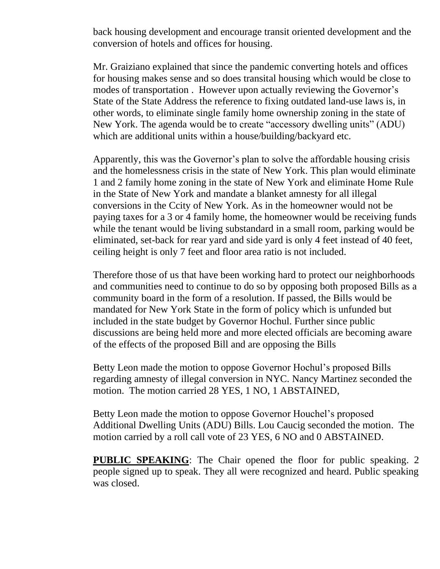back housing development and encourage transit oriented development and the conversion of hotels and offices for housing.

Mr. Graiziano explained that since the pandemic converting hotels and offices for housing makes sense and so does transital housing which would be close to modes of transportation . However upon actually reviewing the Governor's State of the State Address the reference to fixing outdated land-use laws is, in other words, to eliminate single family home ownership zoning in the state of New York. The agenda would be to create "accessory dwelling units" (ADU) which are additional units within a house/building/backyard etc.

Apparently, this was the Governor's plan to solve the affordable housing crisis and the homelessness crisis in the state of New York. This plan would eliminate 1 and 2 family home zoning in the state of New York and eliminate Home Rule in the State of New York and mandate a blanket amnesty for all illegal conversions in the Ccity of New York. As in the homeowner would not be paying taxes for a 3 or 4 family home, the homeowner would be receiving funds while the tenant would be living substandard in a small room, parking would be eliminated, set-back for rear yard and side yard is only 4 feet instead of 40 feet, ceiling height is only 7 feet and floor area ratio is not included.

Therefore those of us that have been working hard to protect our neighborhoods and communities need to continue to do so by opposing both proposed Bills as a community board in the form of a resolution. If passed, the Bills would be mandated for New York State in the form of policy which is unfunded but included in the state budget by Governor Hochul. Further since public discussions are being held more and more elected officials are becoming aware of the effects of the proposed Bill and are opposing the Bills

Betty Leon made the motion to oppose Governor Hochul's proposed Bills regarding amnesty of illegal conversion in NYC. Nancy Martinez seconded the motion. The motion carried 28 YES, 1 NO, 1 ABSTAINED,

Betty Leon made the motion to oppose Governor Houchel's proposed Additional Dwelling Units (ADU) Bills. Lou Caucig seconded the motion. The motion carried by a roll call vote of 23 YES, 6 NO and 0 ABSTAINED.

**PUBLIC SPEAKING**: The Chair opened the floor for public speaking. 2 people signed up to speak. They all were recognized and heard. Public speaking was closed.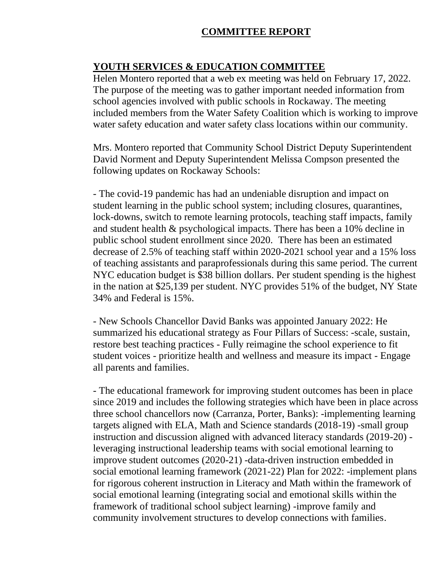### **COMMITTEE REPORT**

### **YOUTH SERVICES & EDUCATION COMMITTEE**

Helen Montero reported that a web ex meeting was held on February 17, 2022. The purpose of the meeting was to gather important needed information from school agencies involved with public schools in Rockaway. The meeting included members from the Water Safety Coalition which is working to improve water safety education and water safety class locations within our community.

Mrs. Montero reported that Community School District Deputy Superintendent David Norment and Deputy Superintendent Melissa Compson presented the following updates on Rockaway Schools:

- The covid-19 pandemic has had an undeniable disruption and impact on student learning in the public school system; including closures, quarantines, lock-downs, switch to remote learning protocols, teaching staff impacts, family and student health & psychological impacts. There has been a 10% decline in public school student enrollment since 2020. There has been an estimated decrease of 2.5% of teaching staff within 2020-2021 school year and a 15% loss of teaching assistants and paraprofessionals during this same period. The current NYC education budget is \$38 billion dollars. Per student spending is the highest in the nation at \$25,139 per student. NYC provides 51% of the budget, NY State 34% and Federal is 15%.

- New Schools Chancellor David Banks was appointed January 2022: He summarized his educational strategy as Four Pillars of Success: -scale, sustain, restore best teaching practices - Fully reimagine the school experience to fit student voices - prioritize health and wellness and measure its impact - Engage all parents and families.

- The educational framework for improving student outcomes has been in place since 2019 and includes the following strategies which have been in place across three school chancellors now (Carranza, Porter, Banks): -implementing learning targets aligned with ELA, Math and Science standards (2018-19) -small group instruction and discussion aligned with advanced literacy standards (2019-20) leveraging instructional leadership teams with social emotional learning to improve student outcomes (2020-21) -data-driven instruction embedded in social emotional learning framework (2021-22) Plan for 2022: -implement plans for rigorous coherent instruction in Literacy and Math within the framework of social emotional learning (integrating social and emotional skills within the framework of traditional school subject learning) -improve family and community involvement structures to develop connections with families.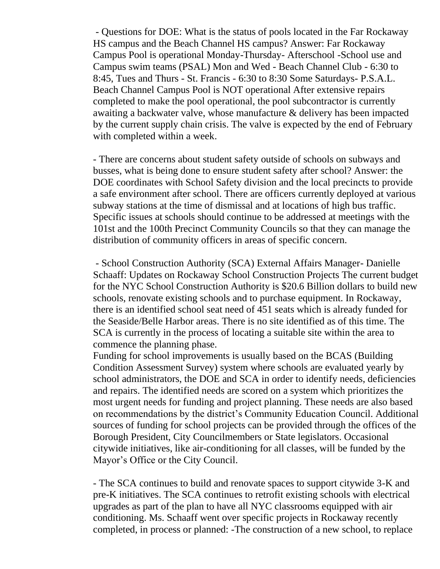- Questions for DOE: What is the status of pools located in the Far Rockaway HS campus and the Beach Channel HS campus? Answer: Far Rockaway Campus Pool is operational Monday-Thursday- Afterschool -School use and Campus swim teams (PSAL) Mon and Wed - Beach Channel Club - 6:30 to 8:45, Tues and Thurs - St. Francis - 6:30 to 8:30 Some Saturdays- P.S.A.L. Beach Channel Campus Pool is NOT operational After extensive repairs completed to make the pool operational, the pool subcontractor is currently awaiting a backwater valve, whose manufacture & delivery has been impacted by the current supply chain crisis. The valve is expected by the end of February with completed within a week.

- There are concerns about student safety outside of schools on subways and busses, what is being done to ensure student safety after school? Answer: the DOE coordinates with School Safety division and the local precincts to provide a safe environment after school. There are officers currently deployed at various subway stations at the time of dismissal and at locations of high bus traffic. Specific issues at schools should continue to be addressed at meetings with the 101st and the 100th Precinct Community Councils so that they can manage the distribution of community officers in areas of specific concern.

- School Construction Authority (SCA) External Affairs Manager- Danielle Schaaff: Updates on Rockaway School Construction Projects The current budget for the NYC School Construction Authority is \$20.6 Billion dollars to build new schools, renovate existing schools and to purchase equipment. In Rockaway, there is an identified school seat need of 451 seats which is already funded for the Seaside/Belle Harbor areas. There is no site identified as of this time. The SCA is currently in the process of locating a suitable site within the area to commence the planning phase.

Funding for school improvements is usually based on the BCAS (Building Condition Assessment Survey) system where schools are evaluated yearly by school administrators, the DOE and SCA in order to identify needs, deficiencies and repairs. The identified needs are scored on a system which prioritizes the most urgent needs for funding and project planning. These needs are also based on recommendations by the district's Community Education Council. Additional sources of funding for school projects can be provided through the offices of the Borough President, City Councilmembers or State legislators. Occasional citywide initiatives, like air-conditioning for all classes, will be funded by the Mayor's Office or the City Council.

- The SCA continues to build and renovate spaces to support citywide 3-K and pre-K initiatives. The SCA continues to retrofit existing schools with electrical upgrades as part of the plan to have all NYC classrooms equipped with air conditioning. Ms. Schaaff went over specific projects in Rockaway recently completed, in process or planned: -The construction of a new school, to replace